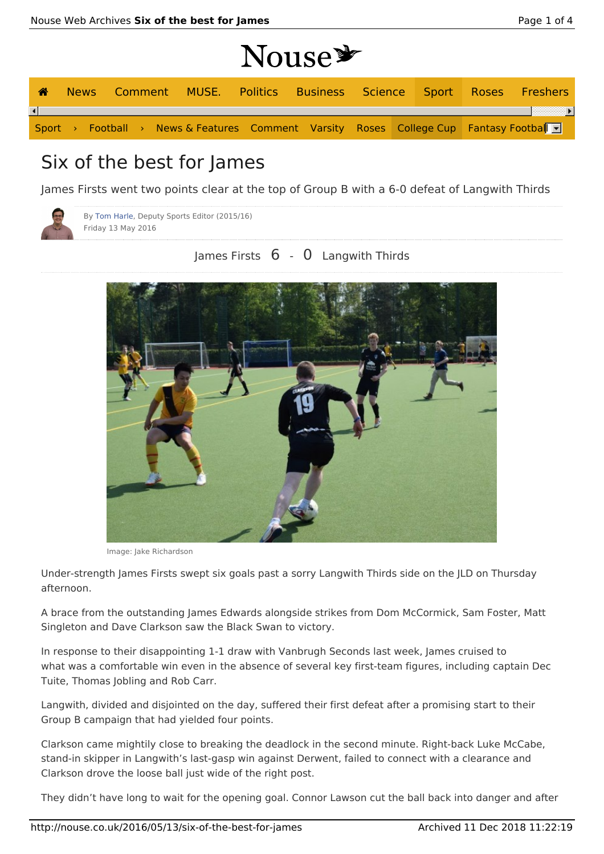# **Nouse\***

| ☎                      |  |  |  |                                                                                                               |  |  | News Comment MUSE. Politics Business Science Sport Roses Freshers |
|------------------------|--|--|--|---------------------------------------------------------------------------------------------------------------|--|--|-------------------------------------------------------------------|
| $\left  \cdot \right $ |  |  |  |                                                                                                               |  |  |                                                                   |
|                        |  |  |  | Sport > Football > News & Features Comment Varsity Roses College Cup Fantasy Football $\overline{\mathbf{r}}$ |  |  |                                                                   |

## Six of the best for James

James Firsts went two points clear at the top of Group B with a 6-0 defeat of Langwith Thirds



By Tom Harle, Deputy Sports Editor (2015/16) Friday 13 May 2016

### James Firsts 6 - 0 Langwith Thirds



Image: Jake Richardson

Under-strength James Firsts swept six goals past a sorry Langwith Thirds side on the JLD on Thursday afternoon.

A brace from the outstanding James Edwards alongside strikes from Dom McCormick, Sam Foster, Matt Singleton and Dave Clarkson saw the Black Swan to victory.

In response to their disappointing 1-1 draw with Vanbrugh Seconds last week, James cruised to what was a comfortable win even in the absence of several key first-team figures, including captain Dec Tuite, Thomas Jobling and Rob Carr.

Langwith, divided and disjointed on the day, suffered their first defeat after a promising start to their Group B campaign that had yielded four points.

Clarkson came mightily close to breaking the deadlock in the second minute. Right-back Luke McCabe, stand-in skipper in Langwith's last-gasp win against Derwent, failed to connect with a clearance and Clarkson drove the loose ball just wide of the right post.

They didn't have long to wait for the opening goal. Connor Lawson cut the ball back into danger and after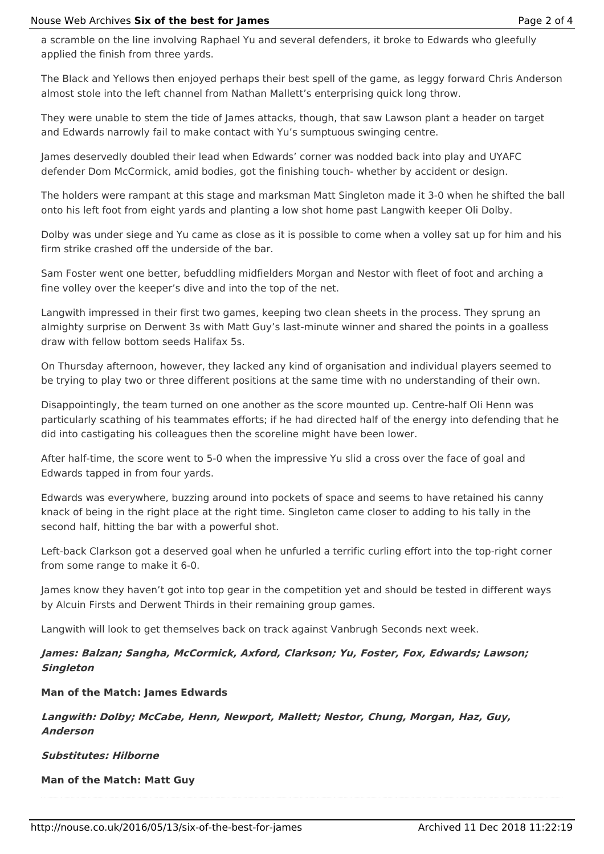a scramble on the line involving Raphael Yu and several defenders, it broke to Edwards who gleefully applied the finish from three yards.

The Black and Yellows then enjoyed perhaps their best spell of the game, as leggy forward Chris Anderson almost stole into the left channel from Nathan Mallett's enterprising quick long throw.

They were unable to stem the tide of lames attacks, though, that saw Lawson plant a header on target and Edwards narrowly fail to make contact with Yu's sumptuous swinging centre.

James deservedly doubled their lead when Edwards' corner was nodded back into play and UYAFC defender Dom McCormick, amid bodies, got the finishing touch- whether by accident or design.

The holders were rampant at this stage and marksman Matt Singleton made it 3-0 when he shifted the ball onto his left foot from eight yards and planting a low shot home past Langwith keeper Oli Dolby.

Dolby was under siege and Yu came as close as it is possible to come when a volley sat up for him and his firm strike crashed off the underside of the bar.

Sam Foster went one better, befuddling midfielders Morgan and Nestor with fleet of foot and arching a fine volley over the keeper's dive and into the top of the net.

Langwith impressed in their first two games, keeping two clean sheets in the process. They sprung an almighty surprise on Derwent 3s with Matt Guy's last-minute winner and shared the points in a goalless draw with fellow bottom seeds Halifax 5s.

On Thursday afternoon, however, they lacked any kind of organisation and individual players seemed to be trying to play two or three different positions at the same time with no understanding of their own.

Disappointingly, the team turned on one another as the score mounted up. Centre-half Oli Henn was particularly scathing of his teammates efforts; if he had directed half of the energy into defending that he did into castigating his colleagues then the scoreline might have been lower.

After half-time, the score went to 5-0 when the impressive Yu slid a cross over the face of goal and Edwards tapped in from four yards.

Edwards was everywhere, buzzing around into pockets of space and seems to have retained his canny knack of being in the right place at the right time. Singleton came closer to adding to his tally in the second half, hitting the bar with a powerful shot.

Left-back Clarkson got a deserved goal when he unfurled a terrific curling effort into the top-right corner from some range to make it 6-0.

James know they haven't got into top gear in the competition yet and should be tested in different ways by Alcuin Firsts and Derwent Thirds in their remaining group games.

Langwith will look to get themselves back on track against Vanbrugh Seconds next week.

**James: Balzan; Sangha, McCormick, Axford, Clarkson; Yu, Foster, Fox, Edwards; Lawson; Singleton**

#### **Man of the Match: James Edwards**

**Langwith: Dolby; McCabe, Henn, Newport, Mallett; Nestor, Chung, Morgan, Haz, Guy, Anderson**

**Substitutes: Hilborne**

**Man of the Match: Matt Guy**